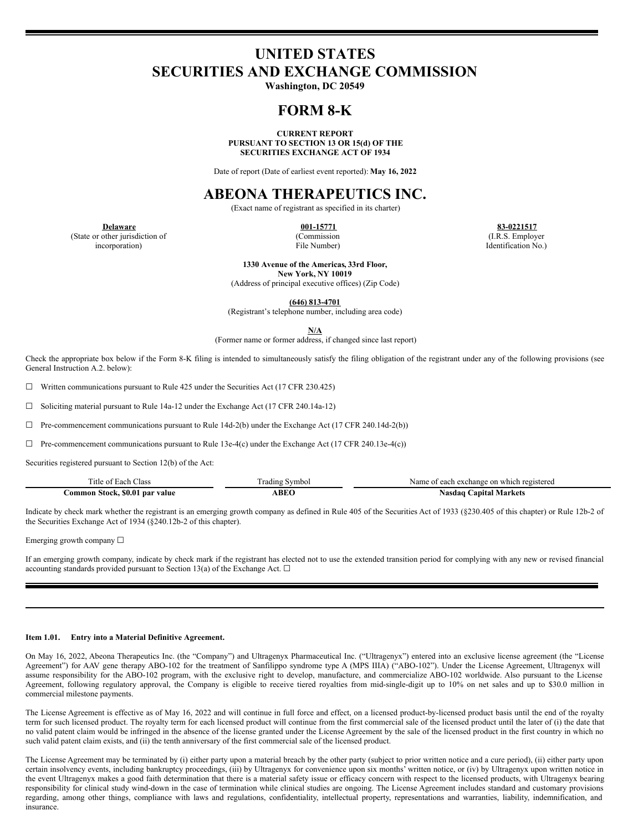# **UNITED STATES SECURITIES AND EXCHANGE COMMISSION**

**Washington, DC 20549**

# **FORM 8-K**

**CURRENT REPORT PURSUANT TO SECTION 13 OR 15(d) OF THE SECURITIES EXCHANGE ACT OF 1934**

Date of report (Date of earliest event reported): **May 16, 2022**

# **ABEONA THERAPEUTICS INC.**

(Exact name of registrant as specified in its charter)

(State or other jurisdiction of incorporation)

(Commission File Number)

**Delaware 001-15771 83-0221517** (I.R.S. Employer Identification No.)

> **1330 Avenue of the Americas, 33rd Floor, New York, NY 10019**

(Address of principal executive offices) (Zip Code)

**(646) 813-4701**

(Registrant's telephone number, including area code)

**N/A**

(Former name or former address, if changed since last report)

Check the appropriate box below if the Form 8-K filing is intended to simultaneously satisfy the filing obligation of the registrant under any of the following provisions (see General Instruction A.2. below):

☐ Written communications pursuant to Rule 425 under the Securities Act (17 CFR 230.425)

☐ Soliciting material pursuant to Rule 14a-12 under the Exchange Act (17 CFR 240.14a-12)

 $\Box$  Pre-commencement communications pursuant to Rule 14d-2(b) under the Exchange Act (17 CFR 240.14d-2(b))

 $\Box$  Pre-commencement communications pursuant to Rule 13e-4(c) under the Exchange Act (17 CFR 240.13e-4(c))

Securities registered pursuant to Section 12(b) of the Act:

| ritle of<br>Class<br><b>Each</b>          | .radıng<br>Symbol | Name<br>., exchange<br>i registered<br>on<br>which<br>ഛ<br>$\cdots$ |
|-------------------------------------------|-------------------|---------------------------------------------------------------------|
| \$0.01<br>l par value<br>⊃ommon<br>Stock. | ABEO              | .Nasdao 1<br>Markets<br>∵anıtal                                     |

Indicate by check mark whether the registrant is an emerging growth company as defined in Rule 405 of the Securities Act of 1933 (§230.405 of this chapter) or Rule 12b-2 of the Securities Exchange Act of 1934 (§240.12b-2 of this chapter).

Emerging growth company  $\Box$ 

If an emerging growth company, indicate by check mark if the registrant has elected not to use the extended transition period for complying with any new or revised financial accounting standards provided pursuant to Section 13(a) of the Exchange Act.  $\Box$ 

#### **Item 1.01. Entry into a Material Definitive Agreement.**

On May 16, 2022, Abeona Therapeutics Inc. (the "Company") and Ultragenyx Pharmaceutical Inc. ("Ultragenyx") entered into an exclusive license agreement (the "License Agreement") for AAV gene therapy ABO-102 for the treatment of Sanfilippo syndrome type A (MPS IIIA) ("ABO-102"). Under the License Agreement, Ultragenyx will assume responsibility for the ABO-102 program, with the exclusive right to develop, manufacture, and commercialize ABO-102 worldwide. Also pursuant to the License Agreement, following regulatory approval, the Company is eligible to receive tiered royalties from mid-single-digit up to 10% on net sales and up to \$30.0 million in commercial milestone payments.

The License Agreement is effective as of May 16, 2022 and will continue in full force and effect, on a licensed product-by-licensed product basis until the end of the royalty term for such licensed product. The royalty term for each licensed product will continue from the first commercial sale of the licensed product until the later of (i) the date that no valid patent claim would be infringed in the absence of the license granted under the License Agreement by the sale of the licensed product in the first country in which no such valid patent claim exists, and (ii) the tenth anniversary of the first commercial sale of the licensed product.

The License Agreement may be terminated by (i) either party upon a material breach by the other party (subject to prior written notice and a cure period), (ii) either party upon certain insolvency events, including bankruptcy proceedings, (iii) by Ultragenyx for convenience upon six months' written notice, or (iv) by Ultragenyx upon written notice in the event Ultragenyx makes a good faith determination that there is a material safety issue or efficacy concern with respect to the licensed products, with Ultragenyx bearing responsibility for clinical study wind-down in the case of termination while clinical studies are ongoing. The License Agreement includes standard and customary provisions regarding, among other things, compliance with laws and regulations, confidentiality, intellectual property, representations and warranties, liability, indemnification, and insurance.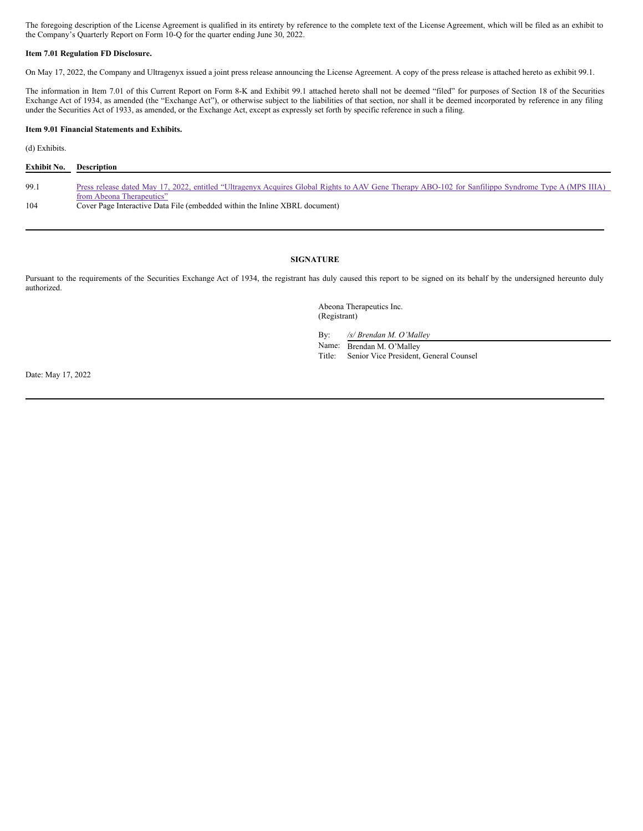The foregoing description of the License Agreement is qualified in its entirety by reference to the complete text of the License Agreement, which will be filed as an exhibit to the Company's Quarterly Report on Form 10-Q for the quarter ending June 30, 2022.

#### **Item 7.01 Regulation FD Disclosure.**

On May 17, 2022, the Company and Ultragenyx issued a joint press release announcing the License Agreement. A copy of the press release is attached hereto as exhibit 99.1.

The information in Item 7.01 of this Current Report on Form 8-K and Exhibit 99.1 attached hereto shall not be deemed "filed" for purposes of Section 18 of the Securities Exchange Act of 1934, as amended (the "Exchange Act"), or otherwise subject to the liabilities of that section, nor shall it be deemed incorporated by reference in any filing under the Securities Act of 1933, as amended, or the Exchange Act, except as expressly set forth by specific reference in such a filing.

#### **Item 9.01 Financial Statements and Exhibits.**

(d) Exhibits.

| Exhibit No. | <b>Description</b>                                                                                                                                  |
|-------------|-----------------------------------------------------------------------------------------------------------------------------------------------------|
|             |                                                                                                                                                     |
| 99.1        | Press release dated May 17, 2022, entitled "Ultragenyx Acquires Global Rights to AAV Gene Therapy ABO-102 for Sanfilippo Syndrome Type A (MPS IIIA) |
|             | from Abeona Therapeutics"                                                                                                                           |
| 104         | Cover Page Interactive Data File (embedded within the Inline XBRL document)                                                                         |

## **SIGNATURE**

Pursuant to the requirements of the Securities Exchange Act of 1934, the registrant has duly caused this report to be signed on its behalf by the undersigned hereunto duly authorized.

> Abeona Therapeutics Inc. (Registrant)

By: */s/ Brendan M. O'Malley*

Name: Brendan M. O'Malley

Title: Senior Vice President, General Counsel

Date: May 17, 2022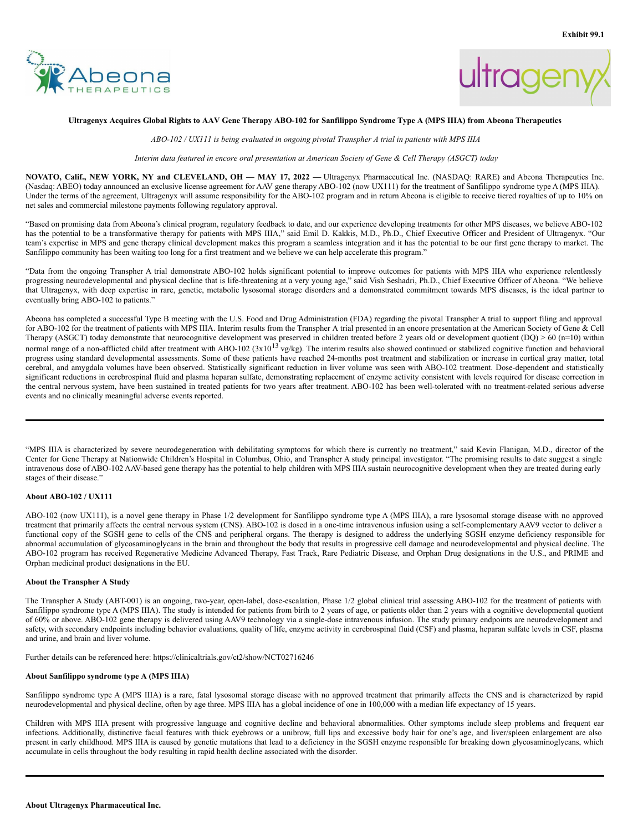

<span id="page-2-0"></span>



### Ultragenyx Acquires Global Rights to AAV Gene Therapy ABO-102 for Sanfilippo Syndrome Type A (MPS IIIA) from Abeona Therapeutics

*ABO-102 / UX111 is being evaluated in ongoing pivotal Transpher A trial in patients with MPS IIIA*

Interim data featured in encore oral presentation at American Society of Gene & Cell Therapy (ASGCT) today

NOVATO, Calif., NEW YORK, NY and CLEVELAND, OH - MAY 17, 2022 - Ultragenyx Pharmaceutical Inc. (NASDAQ: RARE) and Abeona Therapeutics Inc. (Nasdaq: ABEO) today announced an exclusive license agreement for AAV gene therapy ABO-102 (now UX111) for the treatment of Sanfilippo syndrome type A (MPS IIIA). Under the terms of the agreement, Ultragenyx will assume responsibility for the ABO-102 program and in return Abeona is eligible to receive tiered royalties of up to 10% on net sales and commercial milestone payments following regulatory approval.

"Based on promising data from Abeona's clinical program, regulatory feedback to date, and our experience developing treatments for other MPS diseases, we believe ABO-102 has the potential to be a transformative therapy for patients with MPS IIIA," said Emil D. Kakkis, M.D., Ph.D., Chief Executive Officer and President of Ultragenyx. "Our team's expertise in MPS and gene therapy clinical development makes this program a seamless integration and it has the potential to be our first gene therapy to market. The Sanfilippo community has been waiting too long for a first treatment and we believe we can help accelerate this program."

"Data from the ongoing Transpher A trial demonstrate ABO-102 holds significant potential to improve outcomes for patients with MPS IIIA who experience relentlessly progressing neurodevelopmental and physical decline that is life-threatening at a very young age," said Vish Seshadri, Ph.D., Chief Executive Officer of Abeona. "We believe that Ultragenyx, with deep expertise in rare, genetic, metabolic lysosomal storage disorders and a demonstrated commitment towards MPS diseases, is the ideal partner to eventually bring ABO-102 to patients."

Abeona has completed a successful Type B meeting with the U.S. Food and Drug Administration (FDA) regarding the pivotal Transpher A trial to support filing and approval for ABO-102 for the treatment of patients with MPS IIIA. Interim results from the Transpher A trial presented in an encore presentation at the American Society of Gene & Cell Therapy (ASGCT) today demonstrate that neurocognitive development was preserved in children treated before 2 years old or development quotient (DQ) > 60 (n=10) within normal range of a non-afflicted child after treatment with ABO-102  $(3x10^{13} \text{ vg/kg})$ . The interim results also showed continued or stabilized cognitive function and behavioral progress using standard developmental assessments. Some of these patients have reached 24-months post treatment and stabilization or increase in cortical gray matter, total cerebral, and amygdala volumes have been observed. Statistically significant reduction in liver volume was seen with ABO-102 treatment. Dose-dependent and statistically significant reductions in cerebrospinal fluid and plasma heparan sulfate, demonstrating replacement of enzyme activity consistent with levels required for disease correction in the central nervous system, have been sustained in treated patients for two years after treatment. ABO-102 has been well-tolerated with no treatment-related serious adverse events and no clinically meaningful adverse events reported.

"MPS IIIA is characterized by severe neurodegeneration with debilitating symptoms for which there is currently no treatment," said Kevin Flanigan, M.D., director of the Center for Gene Therapy at Nationwide Children's Hospital in Columbus, Ohio, and Transpher A study principal investigator. "The promising results to date suggest a single intravenous dose of ABO-102 AAV-based gene therapy has the potential to help children with MPS IIIA sustain neurocognitive development when they are treated during early stages of their disease."

### **About ABO-102 / UX111**

ABO-102 (now UX111), is a novel gene therapy in Phase 1/2 development for Sanfilippo syndrome type A (MPS IIIA), a rare lysosomal storage disease with no approved treatment that primarily affects the central nervous system (CNS). ABO-102 is dosed in a one-time intravenous infusion using a self-complementary AAV9 vector to deliver a functional copy of the SGSH gene to cells of the CNS and peripheral organs. The therapy is designed to address the underlying SGSH enzyme deficiency responsible for abnormal accumulation of glycosaminoglycans in the brain and throughout the body that results in progressive cell damage and neurodevelopmental and physical decline. The ABO-102 program has received Regenerative Medicine Advanced Therapy, Fast Track, Rare Pediatric Disease, and Orphan Drug designations in the U.S., and PRIME and Orphan medicinal product designations in the EU.

### **About the Transpher A Study**

The Transpher A Study (ABT-001) is an ongoing, two-year, open-label, dose-escalation, Phase 1/2 global clinical trial assessing ABO-102 for the treatment of patients with Sanfilippo syndrome type A (MPS IIIA). The study is intended for patients from birth to 2 years of age, or patients older than 2 years with a cognitive developmental quotient of 60% or above. ABO-102 gene therapy is delivered using AAV9 technology via a single-dose intravenous infusion. The study primary endpoints are neurodevelopment and safety, with secondary endpoints including behavior evaluations, quality of life, enzyme activity in cerebrospinal fluid (CSF) and plasma, heparan sulfate levels in CSF, plasma and urine, and brain and liver volume.

Further details can be referenced here: https://clinicaltrials.gov/ct2/show/NCT02716246

#### **About Sanfilippo syndrome type A (MPS IIIA)**

Sanfilippo syndrome type A (MPS IIIA) is a rare, fatal lysosomal storage disease with no approved treatment that primarily affects the CNS and is characterized by rapid neurodevelopmental and physical decline, often by age three. MPS IIIA has a global incidence of one in 100,000 with a median life expectancy of 15 years.

Children with MPS IIIA present with progressive language and cognitive decline and behavioral abnormalities. Other symptoms include sleep problems and frequent ear infections. Additionally, distinctive facial features with thick eyebrows or a unibrow, full lips and excessive body hair for one's age, and liver/spleen enlargement are also present in early childhood. MPS IIIA is caused by genetic mutations that lead to a deficiency in the SGSH enzyme responsible for breaking down glycosaminoglycans, which accumulate in cells throughout the body resulting in rapid health decline associated with the disorder.